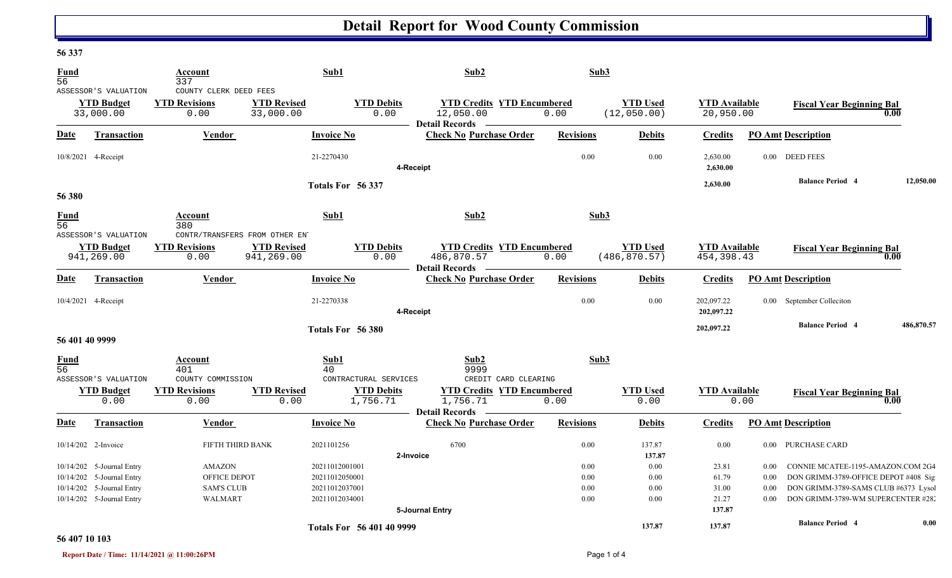## **Detail Report for Wood County Commission**

#### **56 337**

| Fund<br>56                     |                                                         | Account<br>337                                                 |                                  | Sub1                                | Sub2                                                                    | Sub3             |                                  |                                    |          |                                      |            |
|--------------------------------|---------------------------------------------------------|----------------------------------------------------------------|----------------------------------|-------------------------------------|-------------------------------------------------------------------------|------------------|----------------------------------|------------------------------------|----------|--------------------------------------|------------|
|                                | ASSESSOR'S VALUATION<br><b>YTD Budget</b><br>33,000.00  | COUNTY CLERK DEED FEES<br><b>YTD Revisions</b><br>0.00         | <b>YTD Revised</b><br>33,000.00  | <b>YTD Debits</b><br>0.00           | <b>YTD Credits YTD Encumbered</b><br>12,050.00<br><b>Detail Records</b> | 0.00             | <b>YTD Used</b><br>(12, 050.00)  | <b>YTD</b> Available<br>20,950.00  |          | <b>Fiscal Year Beginning Bal</b>     | $0.00\,$   |
| Date                           | Transaction                                             | Vendor                                                         |                                  | <b>Invoice No</b>                   | <b>Check No Purchase Order</b>                                          | <b>Revisions</b> | <b>Debits</b>                    | <b>Credits</b>                     |          | <b>PO Amt Description</b>            |            |
|                                | 10/8/2021 4-Receipt                                     |                                                                |                                  | 21-2270430                          | 4-Receipt                                                               | 0.00             | 0.00                             | 2,630.00<br>2,630.00               |          | 0.00 DEED FEES                       |            |
| 56 380                         |                                                         |                                                                |                                  | Totals For 56 337                   |                                                                         |                  |                                  | 2,630.00                           |          | <b>Balance Period 4</b>              | 12.050.00  |
| <b>Fund</b><br>$\overline{56}$ |                                                         | Account<br>380                                                 |                                  | Sub1                                | Sub2                                                                    | Sub3             |                                  |                                    |          |                                      |            |
|                                | ASSESSOR'S VALUATION<br><b>YTD Budget</b><br>941,269.00 | CONTR/TRANSFERS FROM OTHER ENT<br><b>YTD Revisions</b><br>0.00 | <b>YTD Revised</b><br>941,269.00 | <b>YTD Debits</b><br>0.00           | <b>YTD Credits YTD Encumbered</b><br>486,870.57<br>Detail Records -     | 0.00             | <b>YTD Used</b><br>(486, 870.57) | <b>YTD Available</b><br>454,398.43 |          | <b>Fiscal Year Beginning Bal</b>     | 0.00       |
| <b>Date</b>                    | <b>Transaction</b>                                      | Vendor                                                         |                                  | <b>Invoice No</b>                   | <b>Check No Purchase Order</b>                                          | <b>Revisions</b> | <b>Debits</b>                    | <b>Credits</b>                     |          | <b>PO Amt Description</b>            |            |
|                                | 10/4/2021 4-Receipt                                     |                                                                |                                  | 21-2270338                          | 4-Receipt                                                               | 0.00             | 0.00                             | 202,097.22<br>202,097.22           |          | 0.00 September Colleciton            |            |
| 56 401 40 9999                 |                                                         |                                                                |                                  | Totals For 56 380                   |                                                                         |                  |                                  | 202,097.22                         |          | <b>Balance Period 4</b>              | 486,870.57 |
| <b>Fund</b><br>$\overline{56}$ | ASSESSOR'S VALUATION                                    | Account<br>401<br>COUNTY COMMISSION                            |                                  | Sub1<br>40<br>CONTRACTURAL SERVICES | Sub2<br>9999<br>CREDIT CARD CLEARING                                    | Sub3             |                                  |                                    |          |                                      |            |
|                                | <b>YTD Budget</b><br>0.00                               | <b>YTD Revisions</b><br>0.00                                   | <b>YTD Revised</b><br>0.00       | <b>YTD Debits</b><br>1,756.71       | <b>YTD Credits YTD Encumbered</b><br>1,756.71<br><b>Detail Records</b>  | 0.00             | <b>YTD</b> Used<br>0.00          | <b>YTD Available</b>               | 0.00     | <b>Fiscal Year Beginning Bal</b>     | 0.00       |
| Date                           | <b>Transaction</b>                                      | Vendor                                                         |                                  | <b>Invoice No</b>                   | <b>Check No Purchase Order</b>                                          | <b>Revisions</b> | <b>Debits</b>                    | <b>Credits</b>                     |          | <b>PO Amt Description</b>            |            |
|                                | 10/14/202 2-Invoice                                     | FIFTH THIRD BANK                                               |                                  | 2021101256                          | 6700<br>2-Invoice                                                       | 0.00             | 137.87<br>137.87                 | 0.00                               |          | 0.00 PURCHASE CARD                   |            |
|                                | 10/14/202 5-Journal Entry                               | <b>AMAZON</b>                                                  |                                  | 20211012001001                      |                                                                         | 0.00             | 0.00                             | 23.81                              | 0.00     | CONNIE MCATEE-1195-AMAZON.COM 2G4    |            |
|                                | 10/14/202 5-Journal Entry                               | OFFICE DEPOT                                                   |                                  | 20211012050001                      |                                                                         | 0.00             | 0.00                             | 61.79                              | $0.00\,$ | DON GRIMM-3789-OFFICE DEPOT #408 Sig |            |
|                                | 10/14/202 5-Journal Entry                               | <b>SAM'S CLUB</b>                                              |                                  | 20211012037001                      |                                                                         | 0.00             | 0.00                             | 31.00                              | 0.00     | DON GRIMM-3789-SAMS CLUB #6373 Lysol |            |
|                                | 10/14/202 5-Journal Entry                               | <b>WALMART</b>                                                 |                                  | 20211012034001                      | 5-Journal Entry                                                         | 0.00             | 0.00                             | 21.27<br>137.87                    | 0.00     | DON GRIMM-3789-WM SUPERCENTER #282   |            |
|                                |                                                         |                                                                |                                  | <b>Totals For 56 401 40 9999</b>    |                                                                         |                  | 137.87                           | 137.87                             |          | <b>Balance Period 4</b>              | 0.00       |

#### **56 407 10 103**

**Report Date / Time: 11/14/2021 @ 11:00:26PM** Page 1 of 4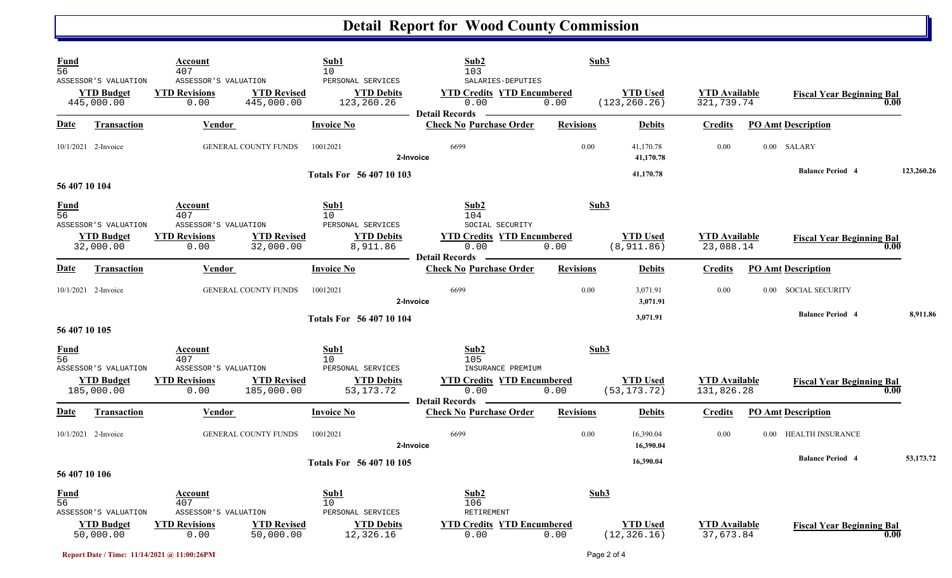# **Detail Report for Wood County Commission**

| <b>Fund</b><br>56              |                                                         | Account<br>407                                       |                                  | Sub1<br>10                                           | Sub2<br>103                                                                             | Sub3             |                                  |                                    |                   |                                  |      |            |
|--------------------------------|---------------------------------------------------------|------------------------------------------------------|----------------------------------|------------------------------------------------------|-----------------------------------------------------------------------------------------|------------------|----------------------------------|------------------------------------|-------------------|----------------------------------|------|------------|
|                                | ASSESSOR'S VALUATION<br><b>YTD Budget</b><br>445,000.00 | ASSESSOR'S VALUATION<br><b>YTD Revisions</b><br>0.00 | <b>YTD Revised</b><br>445,000.00 | PERSONAL SERVICES<br><b>YTD Debits</b><br>123,260.26 | SALARIES-DEPUTIES<br><b>YTD Credits YTD Encumbered</b><br>0.00<br><b>Detail Records</b> | 0.00             | <b>YTD Used</b><br>(123, 260.26) | <b>YTD Available</b><br>321,739.74 |                   | <b>Fiscal Year Beginning Bal</b> |      |            |
| Date                           | <b>Transaction</b>                                      | <b>Vendor</b>                                        |                                  | <b>Invoice No</b>                                    | <b>Check No Purchase Order</b>                                                          | <b>Revisions</b> | <b>Debits</b>                    | <b>Credits</b>                     |                   | <b>PO Amt Description</b>        |      |            |
|                                | 10/1/2021 2-Invoice                                     |                                                      | <b>GENERAL COUNTY FUNDS</b>      | 10012021                                             | 6699<br>2-Invoice                                                                       | 0.00             | 41,170.78<br>41,170.78           | 0.00                               |                   | 0.00 SALARY                      |      |            |
| 56 407 10 104                  |                                                         |                                                      |                                  | <b>Totals For 56 407 10 103</b>                      |                                                                                         |                  | 41,170.78                        |                                    |                   | <b>Balance Period 4</b>          |      | 123,260.26 |
| <b>Fund</b><br>56              |                                                         | Account<br>407                                       |                                  | Sub1<br>10                                           | Sub2<br>104                                                                             | Sub3             |                                  |                                    |                   |                                  |      |            |
|                                | ASSESSOR'S VALUATION<br><b>YTD Budget</b><br>32,000.00  | ASSESSOR'S VALUATION<br><b>YTD Revisions</b><br>0.00 | <b>YTD Revised</b><br>32,000.00  | PERSONAL SERVICES<br><b>YTD Debits</b><br>8,911.86   | SOCIAL SECURITY<br><b>YTD Credits YTD Encumbered</b><br>0.00<br><b>Detail Records</b>   | 0.00             | <b>YTD Used</b><br>(8, 911.86)   | <b>YTD</b> Available<br>23,088.14  |                   | <b>Fiscal Year Beginning Bal</b> | 0.00 |            |
| Date                           | <b>Transaction</b>                                      | Vendor                                               |                                  | <b>Invoice No</b>                                    | <b>Check No Purchase Order</b>                                                          | <b>Revisions</b> | <b>Debits</b>                    | <b>Credits</b>                     |                   | <b>PO Amt Description</b>        |      |            |
|                                | 10/1/2021 2-Invoice                                     |                                                      | <b>GENERAL COUNTY FUNDS</b>      | 10012021                                             | 6699<br>2-Invoice                                                                       | 0.00             | 3,071.91<br>3,071.91             | 0.00                               | 0.00 <sub>1</sub> | <b>SOCIAL SECURITY</b>           |      |            |
| 56 407 10 105                  |                                                         |                                                      |                                  | <b>Totals For 56 407 10 104</b>                      |                                                                                         |                  | 3,071.91                         |                                    |                   | <b>Balance Period 4</b>          |      | 8,911.86   |
| <b>Fund</b><br>$\overline{56}$ | ASSESSOR'S VALUATION                                    | Account<br>407<br>ASSESSOR'S VALUATION               |                                  | Sub1<br>10 <sup>°</sup><br>PERSONAL SERVICES         | Sub2<br>105<br>INSURANCE PREMIUM                                                        | Sub3             |                                  |                                    |                   |                                  |      |            |
|                                | <b>YTD Budget</b><br>185,000.00                         | <b>YTD Revisions</b><br>0.00                         | <b>YTD Revised</b><br>185,000.00 | <b>YTD Debits</b><br>53, 173. 72                     | <b>YTD Credits YTD Encumbered</b><br>0.00<br><b>Detail Records</b>                      | 0.00             | <b>YTD</b> Used<br>(53, 173.72)  | <b>YTD</b> Available<br>131,826.28 |                   | <b>Fiscal Year Beginning Bal</b> | 0.00 |            |
| Date                           | <b>Transaction</b>                                      | <b>Vendor</b>                                        |                                  | <b>Invoice No</b>                                    | <b>Check No Purchase Order</b>                                                          | <b>Revisions</b> | <b>Debits</b>                    | <b>Credits</b>                     |                   | <b>PO Amt Description</b>        |      |            |
|                                | 10/1/2021 2-Invoice                                     |                                                      | <b>GENERAL COUNTY FUNDS</b>      | 10012021                                             | 6699<br>2-Invoice                                                                       | 0.00             | 16,390.04<br>16,390.04           | 0.00                               | 0.00              | HEALTH INSURANCE                 |      |            |
| 56 407 10 106                  |                                                         |                                                      |                                  | Totals For 56 407 10 105                             |                                                                                         |                  | 16,390.04                        |                                    |                   | <b>Balance Period 4</b>          |      | 53,173.72  |
| $\frac{Fund}{56}$              | ASSESSOR'S VALUATION                                    | <b>Account</b><br>407<br>ASSESSOR'S VALUATION        |                                  | Sub1<br>10<br>PERSONAL SERVICES                      | Sub2<br>106<br>RETIREMENT                                                               | Sub3             |                                  |                                    |                   |                                  |      |            |
|                                | <b>YTD Budget</b><br>50,000.00                          | <b>YTD Revisions</b><br>0.00                         | <b>YTD Revised</b><br>50,000.00  | <b>YTD Debits</b><br>12,326.16                       | <b>YTD Credits YTD Encumbered</b><br>0.00                                               | 0.00             | <b>YTD Used</b><br>(12, 326.16)  | <b>YTD Available</b><br>37,673.84  |                   | <b>Fiscal Year Beginning Bal</b> | 0.00 |            |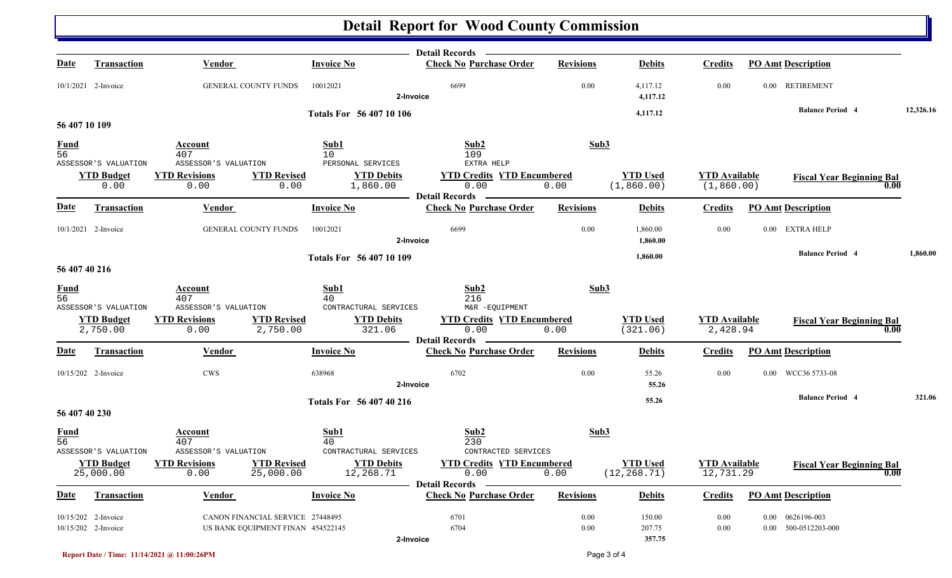### **Detail Report for Wood County Commission**

|                   |                                            |                                                                       |                                     | Detail Records –                                                   |                  |                                 |                                     |                                                       |           |
|-------------------|--------------------------------------------|-----------------------------------------------------------------------|-------------------------------------|--------------------------------------------------------------------|------------------|---------------------------------|-------------------------------------|-------------------------------------------------------|-----------|
| Date              | <b>Transaction</b>                         | <b>Vendor</b>                                                         | <b>Invoice No</b>                   | <b>Check No Purchase Order</b>                                     | <b>Revisions</b> | <b>Debits</b>                   | <b>Credits</b>                      | <b>PO Amt Description</b>                             |           |
|                   | 10/1/2021 2-Invoice                        | GENERAL COUNTY FUNDS                                                  | 10012021                            | 6699<br>2-Invoice                                                  | 0.00             | 4,117.12<br>4,117.12            | 0.00                                | 0.00 RETIREMENT                                       |           |
|                   |                                            |                                                                       | <b>Totals For 56 407 10 106</b>     |                                                                    |                  | 4,117.12                        |                                     | <b>Balance Period 4</b>                               | 12,326.16 |
| 56 407 10 109     |                                            |                                                                       |                                     |                                                                    |                  |                                 |                                     |                                                       |           |
| $\frac{Fund}{56}$ | ASSESSOR'S VALUATION                       | Account<br>407<br>ASSESSOR'S VALUATION                                | Sub1<br>10<br>PERSONAL SERVICES     | Sub2<br>109<br>EXTRA HELP                                          | Sub3             |                                 |                                     |                                                       |           |
|                   | <b>YTD Budget</b><br>0.00                  | <b>YTD Revised</b><br><b>YTD Revisions</b><br>0.00<br>0.00            | <b>YTD Debits</b><br>1,860.00       | <b>YTD Credits YTD Encumbered</b><br>0.00<br><b>Detail Records</b> | 0.00             | <b>YTD Used</b><br>(1, 860.00)  | <b>YTD Available</b><br>(1, 860.00) | <b>Fiscal Year Beginning Bal</b><br>0.00              |           |
| <b>Date</b>       | <b>Transaction</b>                         | Vendor                                                                | <b>Invoice No</b>                   | <b>Check No Purchase Order</b>                                     | <b>Revisions</b> | <b>Debits</b>                   | <b>Credits</b>                      | <b>PO Amt Description</b>                             |           |
|                   | 10/1/2021 2-Invoice                        | <b>GENERAL COUNTY FUNDS</b>                                           | 10012021                            | 6699<br>2-Invoice                                                  | 0.00             | 1,860.00<br>1,860.00            | 0.00                                | 0.00 EXTRA HELP                                       |           |
|                   |                                            |                                                                       | Totals For 56 407 10 109            |                                                                    |                  | 1,860.00                        |                                     | <b>Balance Period 4</b>                               | 1,860.00  |
| 56 407 40 216     |                                            |                                                                       |                                     |                                                                    |                  |                                 |                                     |                                                       |           |
| $\frac{Fund}{56}$ | ASSESSOR'S VALUATION                       | Account<br>407<br>ASSESSOR'S VALUATION                                | Sub1<br>40<br>CONTRACTURAL SERVICES | Sub2<br>216<br>M&R -EQUIPMENT                                      | Sub3             |                                 |                                     |                                                       |           |
|                   | <b>YTD Budget</b><br>2,750.00              | <b>YTD Revised</b><br><b>YTD Revisions</b><br>2,750.00<br>0.00        | <b>YTD Debits</b><br>321.06         | <b>YTD Credits YTD Encumbered</b><br>0.00<br><b>Detail Records</b> | 0.00             | <b>YTD Used</b><br>(321.06)     | <b>YTD</b> Available<br>2,428.94    | <b>Fiscal Year Beginning Bal</b><br>0.00              |           |
| <u>Date</u>       | <b>Transaction</b>                         | <b>Vendor</b>                                                         | <b>Invoice No</b>                   | <b>Check No Purchase Order</b>                                     | <b>Revisions</b> | <b>Debits</b>                   | <b>Credits</b>                      | <b>PO Amt Description</b>                             |           |
|                   | 10/15/202 2-Invoice                        | <b>CWS</b>                                                            | 638968                              | 6702<br>2-Invoice                                                  | 0.00             | 55.26<br>55.26                  | 0.00                                | 0.00 WCC36 5733-08                                    |           |
|                   |                                            |                                                                       | Totals For 56 407 40 216            |                                                                    |                  | 55.26                           |                                     | <b>Balance Period 4</b>                               | 321.06    |
| 56 407 40 230     |                                            |                                                                       |                                     |                                                                    |                  |                                 |                                     |                                                       |           |
| $\frac{Fund}{56}$ | ASSESSOR'S VALUATION                       | Account<br>407<br>ASSESSOR'S VALUATION                                | Sub1<br>40<br>CONTRACTURAL SERVICES | Sub2<br>230<br>CONTRACTED SERVICES                                 | Sub3             |                                 |                                     |                                                       |           |
|                   | <b>YTD Budget</b><br>25,000.00             | <b>YTD Revisions</b><br><b>YTD Revised</b><br>0.00<br>25,000.00       | <b>YTD Debits</b><br>12,268.71      | <b>YTD Credits YTD Encumbered</b><br>0.00<br><b>Detail Records</b> | 0.00             | <b>YTD Used</b><br>(12, 268.71) | <b>YTD Available</b><br>12,731.29   | <b>Fiscal Year Beginning Bal</b><br>$\overline{0.00}$ |           |
| <b>Date</b>       | Transaction                                | Vendor                                                                | <b>Invoice No</b>                   | <b>Check No Purchase Order</b>                                     | <b>Revisions</b> | <b>Debits</b>                   | <b>Credits</b>                      | <b>PO Amt Description</b>                             |           |
|                   | 10/15/202 2-Invoice<br>10/15/202 2-Invoice | CANON FINANCIAL SERVICE 27448495<br>US BANK EQUIPMENT FINAN 454522145 |                                     | 6701<br>6704<br>2-Invoice                                          | 0.00<br>0.00     | 150.00<br>207.75<br>357.75      | 0.00<br>$0.00\,$                    | 0.00  0626196-003<br>0.00 500-0512203-000             |           |